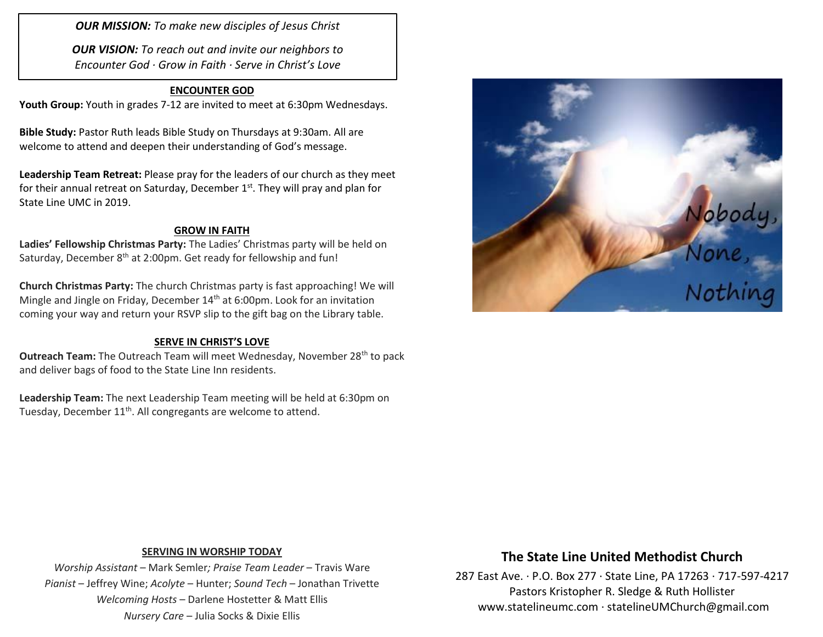*OUR MISSION: To make new disciples of Jesus Christ*

*OUR VISION: To reach out and invite our neighbors to Encounter God · Grow in Faith · Serve in Christ's Love*

### **ENCOUNTER GOD**

**Youth Group:** Youth in grades 7-12 are invited to meet at 6:30pm Wednesdays.

**Bible Study:** Pastor Ruth leads Bible Study on Thursdays at 9:30am. All are welcome to attend and deepen their understanding of God's message.

**Leadership Team Retreat:** Please pray for the leaders of our church as they meet for their annual retreat on Saturday, December 1<sup>st</sup>. They will pray and plan for State Line UMC in 2019.

#### **GROW IN FAITH**

**Ladies' Fellowship Christmas Party:** The Ladies' Christmas party will be held on Saturday, December 8<sup>th</sup> at 2:00pm. Get ready for fellowship and fun!

**Church Christmas Party:** The church Christmas party is fast approaching! We will Mingle and Jingle on Friday, December  $14<sup>th</sup>$  at 6:00pm. Look for an invitation coming your way and return your RSVP slip to the gift bag on the Library table.

### **SERVE IN CHRIST'S LOVE**

**Outreach Team:** The Outreach Team will meet Wednesday, November 28<sup>th</sup> to pack and deliver bags of food to the State Line Inn residents.

**Leadership Team:** The next Leadership Team meeting will be held at 6:30pm on Tuesday, December 11<sup>th</sup>. All congregants are welcome to attend.



#### **SERVING IN WORSHIP TODAY**

*Worship Assistant* – Mark Semler*; Praise Team Leader* – Travis Ware *Pianist* – Jeffrey Wine; *Acolyte* – Hunter; *Sound Tech* – Jonathan Trivette *Welcoming Hosts* – Darlene Hostetter & Matt Ellis *Nursery Care* – Julia Socks & Dixie Ellis

# **The State Line United Methodist Church**

287 East Ave. · P.O. Box 277 · State Line, PA 17263 · 717-597-4217 Pastors Kristopher R. Sledge & Ruth Hollister [www.statelineumc.com](http://www.statelineumc.com/) · statelineUMChurch@gmail.com